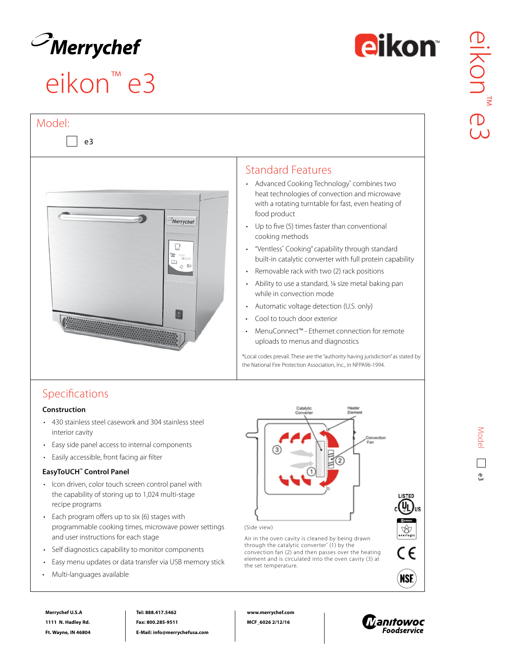

 $\vert$  e3

Model:

# eikon™ e3





### Standard Features

- Advanced Cooking Technology® combines two heat technologies of convection and microwave with a rotating turntable for fast, even heating of food product
- Up to five (5) times faster than conventional cooking methods
- "Ventless\* Cooking" capability through standard built-in catalytic converter with full protein capability
- Removable rack with two (2) rack positions
- Ability to use a standard, ¼ size metal baking pan while in convection mode
- Automatic voltage detection (U.S. only)
- Cool to touch door exterior
- MenuConnect™ Ethernet connection for remote uploads to menus and diagnostics

\*Local codes prevail. These are the "authority having jurisdiction" as stated by the National Fire Protection Association, Inc., in NFPA96-1994.

### Specifications

#### **Construction**

- 430 stainless steel casework and 304 stainless steel interior cavity
- Easy side panel access to internal components
- Easily accessible, front facing air filter

#### **EasyToUCH™ Control Panel**

- Icon driven, color touch screen control panel with the capability of storing up to 1,024 multi-stage recipe programs
- Each program offers up to six (6) stages with programmable cooking times, microwave power settings and user instructions for each stage
- Self diagnostics capability to monitor components
- Easy menu updates or data transfer via USB memory stick
- Multi-languages available

**Merrychef U.S.A 1111 N. Hadley Rd. Ft. Wayne, IN 46804**



(Side view)

Air in the oven cavity is cleaned by being drawn through the catalytic converter\* (1) by the convection fan (2) and then passes over the heating element and is circulated into the oven cavity (3) at the set temperature.





**ISTED** ų

 $\bigotimes_{\mathsf{nealogi}}$ 

C€

**NSF** 

**Tel: 888.417.5462 Fax: 800.285-9511 E-Mail: info@merrychefusa.com** **www.merrychef.com MCF\_6026 2/12/16**